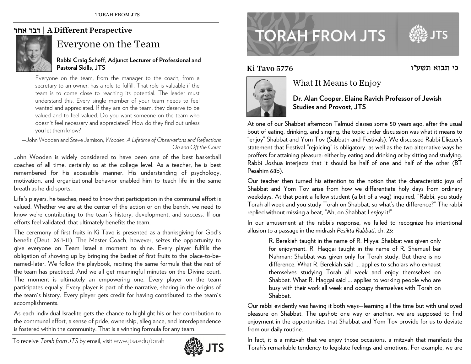### | דבר אחר A Different Perspective



# Everyone on the Team

#### **Rabbi Craig Scheff, Adjunct L Lecturer of Profess sional and Pastoral Skills, JTS**

Everyone on the team, from the manager to the coach, from a secretary to an owner, has a role to fulfill. That role is valuable if the team is to come close to reaching its potential. The leader must understand this. Every single member of your team needs to feel wanted and appreciated. If they are on the team, they deserve to be valued and to feel valued. Do you want someone on the team who doesn't feel necessary and appreciated? How do they find out unless you let them know?

—John W Wooden and Steve Ja amison, *Wooden: A Lifetime of Observa tions and Reflections OOn and Off the Court st*

John Wooden is widely considered to have been one of the best basketball coaches of all time, certainly so at the college level. As a teacher, he is best remembered for his accessible manner. His understanding of psychology, motivation, and organizational behavior enabled him to teach life in the same breath as he e did sports.

Life's players, he teaches, need to know that participation in the communal effort is valued. Whether we are at the center of the action or on the bench, we need to know we're contributing to the team's history, development, and success. If our efforts feel v validated, that ulti m mately benefits th e team. t,esoursoe.

The ceremony of first fruits in Ki Tavo is presented as a thanksgiving for God's benefit (Deut. 26:1-11). The Master Coach, however, seizes the opportunity to give everyone on Team Israel a moment to shine. Every player fulfills the obligation of showing up by bringing the basket of first fruits to the place-to-benamed-later. We follow the playbook, reciting the same formula that the rest of the team has practiced. And we all get meaningful minutes on the Divine court. The moment is ultimately an empowering one. Every player on the team participates equally. Every player is part of the narrative, sharing in the origins of the team's history. Every player gets credit for having contributed to the team's accomplishments.

As each individual Israelite gets the chance to highlight his or her contribution to the communal effort, a sense of pride, ownership, allegiance, and interdependence is fostered within the community. That is a winning formula for any team.

To receive *T Torah from JTS* by e email, visitwww.jts sa.edu/torah



# **TORAH FROM JTS**

Ki Ta



## What It Means to Enjoy

**Dr. AAlan Cooper, El a aine Ravich Prof fessor of Jewis hStudies and Provost, , JTS** 

כי תבוא תשע״ו

At one of our Shabbat afternoon Talmud classes some 50 years ago, after the usual bout of eating, drinking, and singing, the topic under discussion was what it means to "enjoy" " Shabbat and Yo m Tov (Sabbath a and Festivals). We e discussed Rabbi Eliezer's statement that Festival "rejoicing" is obligatory, as well as the two alternative ways he proffers for attaining pleasure: either by eating and drinking or by sitting and studying. Rabbi Joshua interjects that it should be half of one and half of the other (BT Pesahim 68b). Ki Tavo 5776<br>
I<br>
At one of our Shal<br>
bout of eating, drim<br>
"enjoy" Shabbat are<br>
statement that Fes<br>
proffers for attaining<br>
Resahim 68b).<br>
Our teacher then<br>
Shabbat and Yor<br>
searce then Shabbat and Yor<br>
weekdays. At that<br>

Our teacher then turned his attention to the notion that the characteristic joys of Shabbat and Yom Tov arise from how we differentiate holy days from ordinary weekdays. At that point a fellow student (a bit of a wag) inquired, "Rabbi, you study Torah all week and you study Torah on Shabbat, so what's the difference?" The rabbi replied without missing a beat, "Ah, on Shabbat I *enjoy* it!"

In our amusement at the rabbi's response, we failed to recognize his intentional allusion n to a passage in t he midrash *Pesikta a Rabbati*, ch. 23:

R. Berekiah taught in the name of R. Hiyya: Shabbat was given only for enjoyment. R. Haggai taught in the name of R. Shemuel bar Nahman: Shabbat was given only for Torah study. But there is no difference. What R. Berekiah said ... applies to scholars who exhaust themselves studying Torah all week and enjoy themselves on Shabbat. What R. Haggai said … applies to workin ng people who are busy with their work all week and occupy themselves with Torah on Shabbat. y<br>ar<br>e<br>n<br>unalloyed

Our rabbi evidently was having it both ways—learning all the time but with u pleasure on Shabbat. The upshot: one way or another, we are supposed to find enjoyment in the opportunities that Shabbat and Yom Tov provide for us to deviate from o our daily routine.

In fact, it is a mitzvah that we enjoy those occasions, a mitzvah that manifests the Torah's remarkable tendency to legislate feelings and emotions. For example, we are